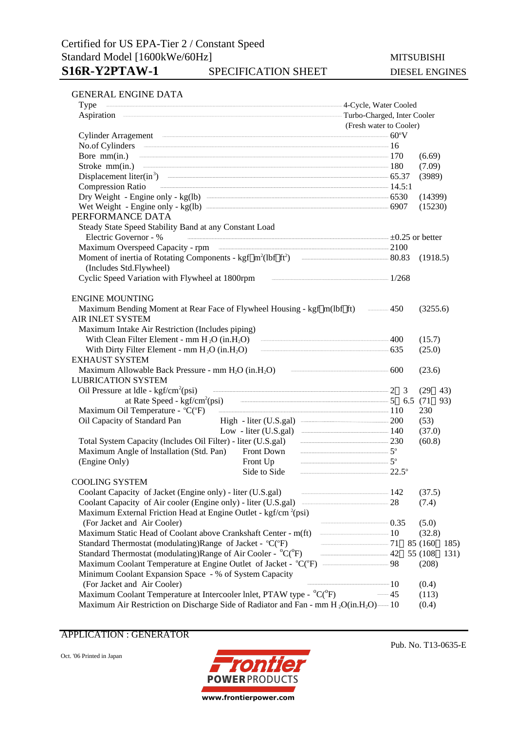### GENERAL ENGINE DATA

| Type                                                                                                                                                           | 4-Cycle, Water Cooled         |             |  |  |  |
|----------------------------------------------------------------------------------------------------------------------------------------------------------------|-------------------------------|-------------|--|--|--|
|                                                                                                                                                                | - Turbo-Charged, Inter Cooler |             |  |  |  |
|                                                                                                                                                                | (Fresh water to Cooler)       |             |  |  |  |
| Cylinder Arragement 60°V                                                                                                                                       |                               |             |  |  |  |
| No.of Cylinders 16                                                                                                                                             |                               |             |  |  |  |
| Bore $\text{mm(in.)}$ $\qquad \qquad \qquad$ 170                                                                                                               |                               | (6.69)      |  |  |  |
| Stroke mm(in.) 180                                                                                                                                             |                               | (7.09)      |  |  |  |
| Displacement liter(in <sup>3</sup> ) $\qquad \qquad$ 65.37                                                                                                     |                               | (3989)      |  |  |  |
| $\frac{14.5:1}{14.5:1}$<br><b>Compression Ratio</b>                                                                                                            |                               |             |  |  |  |
|                                                                                                                                                                |                               | (14399)     |  |  |  |
| Wet Weight - Engine only - $kg(lb)$ $\overline{\qquad}$ 6907                                                                                                   |                               | (15230)     |  |  |  |
| PERFORMANCE DATA                                                                                                                                               |                               |             |  |  |  |
| Steady State Speed Stability Band at any Constant Load                                                                                                         |                               |             |  |  |  |
| Electric Governor - %<br>$\overline{+0.25}$ or better                                                                                                          |                               |             |  |  |  |
|                                                                                                                                                                |                               |             |  |  |  |
|                                                                                                                                                                |                               |             |  |  |  |
| (Includes Std.Flywheel)                                                                                                                                        |                               |             |  |  |  |
| Cyclic Speed Variation with Flywheel at 1800rpm and all all the matter of 1/268                                                                                |                               |             |  |  |  |
| <b>ENGINE MOUNTING</b>                                                                                                                                         |                               |             |  |  |  |
| Maximum Bending Moment at Rear Face of Flywheel Housing - kgf m(lbf ft) — 450                                                                                  |                               | (3255.6)    |  |  |  |
| <b>AIR INLET SYSTEM</b>                                                                                                                                        |                               |             |  |  |  |
| Maximum Intake Air Restriction (Includes piping)                                                                                                               |                               |             |  |  |  |
| With Clean Filter Element - mm $H_2O$ (in $H_2O$ ) $\qquad \qquad \qquad 400$                                                                                  |                               | (15.7)      |  |  |  |
| With Dirty Filter Element - mm $H_2O$ (in $H_2O$ ) $\qquad \qquad \qquad$ 635                                                                                  |                               | (25.0)      |  |  |  |
| <b>EXHAUST SYSTEM</b>                                                                                                                                          |                               |             |  |  |  |
| Maximum Allowable Back Pressure - mm $H_2O$ (in $H_2O$ ) $\qquad \qquad \qquad 600$                                                                            |                               | (23.6)      |  |  |  |
| <b>LUBRICATION SYSTEM</b>                                                                                                                                      |                               |             |  |  |  |
| Oil Pressure at $ldle$ - kgf/cm <sup>2</sup> (psi)                                                                                                             |                               | (29)<br>43) |  |  |  |
|                                                                                                                                                                |                               | 93)         |  |  |  |
| Maximum Oil Temperature - °C(°F) 110                                                                                                                           |                               | 230         |  |  |  |
| High - liter (U.S.gal) <u>200</u><br>Oil Capacity of Standard Pan                                                                                              |                               | (53)        |  |  |  |
| Low - liter (U.S.gal) $\qquad \qquad$ 140                                                                                                                      |                               | (37.0)      |  |  |  |
| Total System Capacity (Includes Oil Filter) - liter (U.S.gal) - - - 230                                                                                        |                               | (60.8)      |  |  |  |
| Front Down $5^{\circ}$<br>Maximum Angle of Installation (Std. Pan)                                                                                             |                               |             |  |  |  |
| Front Up $5^{\circ}$<br>(Engine Only)                                                                                                                          |                               |             |  |  |  |
| Side to Side                                                                                                                                                   | $\frac{1}{22.5^{\circ}}$      |             |  |  |  |
| <b>COOLING SYSTEM</b>                                                                                                                                          |                               |             |  |  |  |
| Coolant Capacity of Jacket (Engine only) - liter (U.S.gal)<br>$\frac{142}{2}$                                                                                  |                               | (37.5)      |  |  |  |
| Coolant Capacity of Air cooler (Engine only) - liter (U.S.gal) ——————————————————28                                                                            |                               | (7.4)       |  |  |  |
| Maximum External Friction Head at Engine Outlet - kgf/cm <sup>2</sup> (psi)                                                                                    | $\frac{1}{2}$ 0.35            |             |  |  |  |
| (For Jacket and Air Cooler)                                                                                                                                    |                               | (5.0)       |  |  |  |
| Maximum Static Head of Coolant above Crankshaft Center - m(ft)                                                                                                 | $\frac{10}{2}$                | (32.8)      |  |  |  |
| Standard Thermostat (modulating)Range of Jacket - °C(°F)                                                                                                       | $\frac{1}{2}$ 71<br>85 (160)  | 185)        |  |  |  |
| Standard Thermostat (modulating)Range of Air Cooler - °C(°F)                                                                                                   | $\frac{1}{2}$<br>55 (108)     | 131)        |  |  |  |
| Maximum Coolant Temperature at Engine Outlet of Jacket - °C(°F) ——————————————98                                                                               |                               | (208)       |  |  |  |
| Minimum Coolant Expansion Space - % of System Capacity                                                                                                         | $\frac{1}{10}$                |             |  |  |  |
| (For Jacket and Air Cooler)                                                                                                                                    | $-45$                         | (0.4)       |  |  |  |
| Maximum Coolant Temperature at Intercooler Inlet, PTAW type - °C(°F)<br>Maximum Air Restriction on Discharge Side of Radiator and Fan - mm $H_2O(in.H_2O)$ —10 |                               | (113)       |  |  |  |
|                                                                                                                                                                |                               | (0.4)       |  |  |  |

APPLICATION : GENERATOR

Oct. '06 Printed in Japan



Pub. No. T13-0635-E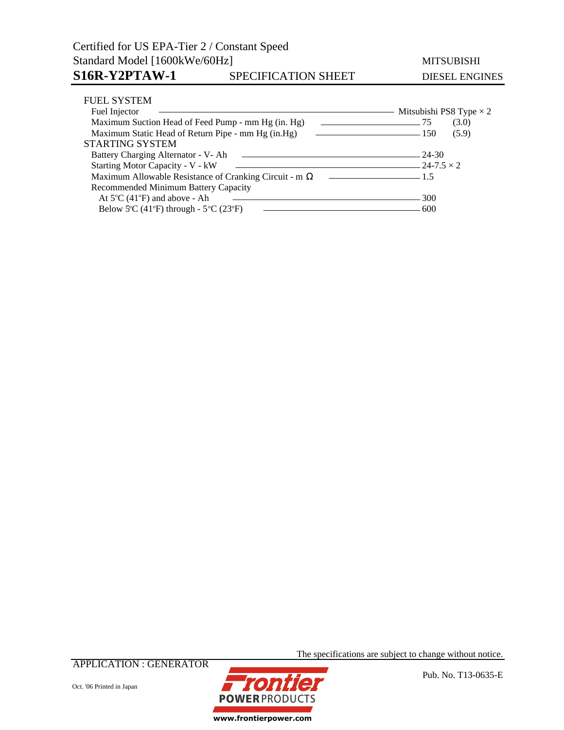# Certified for US EPA-Tier 2 / Constant Speed Standard Model [1600kWe/60Hz] MITSUBISHI S16R-Y2PTAW-1 SPECIFICATION SHEET DIESEL ENGINES

| <b>FUEL SYSTEM</b>                                        |                                |
|-----------------------------------------------------------|--------------------------------|
| Fuel Injector                                             | Mitsubishi PS8 Type $\times$ 2 |
| Maximum Suction Head of Feed Pump - mm Hg (in. Hg)        | (3.0)<br>$\sim$ 75             |
| Maximum Static Head of Return Pipe - mm Hg (in.Hg)        | (5.9)<br>$\sim$ 150            |
| <b>STARTING SYSTEM</b>                                    |                                |
| Battery Charging Alternator - V- Ah<br>$-$ 24-30          |                                |
| Starting Motor Capacity - V - kW<br>$-$ 24-7.5 $\times$ 2 |                                |
| Maximum Allowable Resistance of Cranking Circuit - m      |                                |
| Recommended Minimum Battery Capacity                      |                                |
| At $5^{\circ}$ C (41 $^{\circ}$ F) and above - Ah         | 300                            |
| Below 5°C (41°F) through - $5^{\circ}$ C (23°F)           | -600                           |

APPLICATION : GENERATOR



**POWER PRODUCTS** www.frontierpower.com

The specifications are subject to change without notice.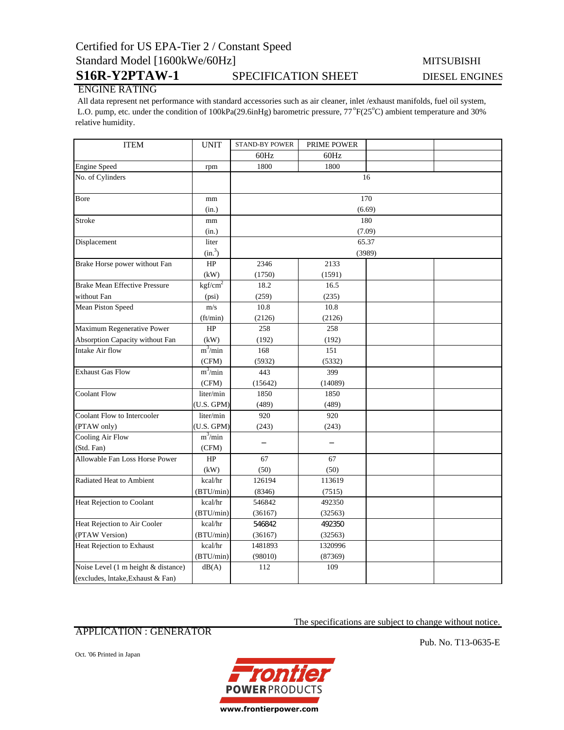# Certified for US EPA-Tier 2 / Constant Speed Standard Model [1600kWe/60Hz] MITSUBISHI

# S16R-Y2PTAW-1 SPECIFICATION SHEET DIESEL ENGINES

## ENGINE RATING

 All data represent net performance with standard accessories such as air cleaner, inlet /exhaust manifolds, fuel oil system, L.O. pump, etc. under the condition of 100kPa(29.6inHg) barometric pressure, 77°F(25°C) ambient temperature and 30% relative humidity.

| <b>ITEM</b>                          | <b>UNIT</b>                  | <b>STAND-BY POWER</b> | PRIME POWER |  |  |  |
|--------------------------------------|------------------------------|-----------------------|-------------|--|--|--|
|                                      |                              | 60Hz                  | 60Hz        |  |  |  |
| <b>Engine Speed</b>                  | rpm                          | 1800                  | 1800        |  |  |  |
| No. of Cylinders                     |                              | 16                    |             |  |  |  |
| Bore                                 | mm                           | 170                   |             |  |  |  |
|                                      | (in.)                        | (6.69)                |             |  |  |  |
| <b>Stroke</b>                        | mm                           | 180<br>(7.09)         |             |  |  |  |
|                                      | (in.)                        |                       |             |  |  |  |
| Displacement                         | liter                        | 65.37                 |             |  |  |  |
|                                      | (in. <sup>3</sup> )          | (3989)                |             |  |  |  |
| Brake Horse power without Fan        | HP                           | 2346                  | 2133        |  |  |  |
|                                      | (kW)                         | (1750)                | (1591)      |  |  |  |
| <b>Brake Mean Effective Pressure</b> | $k\overline{\text{gf/cm}^2}$ | 18.2                  | 16.5        |  |  |  |
| without Fan                          | (psi)                        | (259)                 | (235)       |  |  |  |
| Mean Piston Speed                    | m/s                          | 10.8                  | 10.8        |  |  |  |
|                                      | (ft/min)                     | (2126)                | (2126)      |  |  |  |
| Maximum Regenerative Power           | HP                           | 258                   | 258         |  |  |  |
| Absorption Capacity without Fan      | (kW)                         | (192)                 | (192)       |  |  |  |
| Intake Air flow                      | $m^3$ /min                   | 168                   | 151         |  |  |  |
|                                      | (CFM)                        | (5932)                | (5332)      |  |  |  |
| <b>Exhaust Gas Flow</b>              | $m^3/m$ in                   | 443                   | 399         |  |  |  |
|                                      | (CFM)                        | (15642)               | (14089)     |  |  |  |
| <b>Coolant Flow</b>                  | liter/min                    | 1850                  | 1850        |  |  |  |
|                                      | (U.S. GPM)                   | (489)                 | (489)       |  |  |  |
| Coolant Flow to Intercooler          | liter/min                    | 920                   | 920         |  |  |  |
| (PTAW only)                          | (U.S. GPM)                   | (243)                 | (243)       |  |  |  |
| Cooling Air Flow                     | $m^3/min$                    |                       |             |  |  |  |
| (Std. Fan)                           | (CFM)                        |                       |             |  |  |  |
| Allowable Fan Loss Horse Power       | HP                           | 67                    | 67          |  |  |  |
|                                      | (kW)                         | (50)                  | (50)        |  |  |  |
| Radiated Heat to Ambient             | kcal/hr                      | 126194                | 113619      |  |  |  |
|                                      | (BTU/min)                    | (8346)                | (7515)      |  |  |  |
| Heat Rejection to Coolant            | kcal/hr                      | 546842                | 492350      |  |  |  |
|                                      | (BTU/min)                    | (36167)               | (32563)     |  |  |  |
| Heat Rejection to Air Cooler         | kcal/hr                      | 546842                | 492350      |  |  |  |
| (PTAW Version)                       | (BTU/min)                    | (36167)               | (32563)     |  |  |  |
| Heat Rejection to Exhaust            | kcal/hr                      | 1481893               | 1320996     |  |  |  |
|                                      | (BTU/min)                    | (98010)               | (87369)     |  |  |  |
| Noise Level (1 m height & distance)  | dB(A)                        | 112                   | 109         |  |  |  |
| (excludes, Intake, Exhaust & Fan)    |                              |                       |             |  |  |  |

## APPLICATION : GENERATOR

The specifications are subject to change without notice.

Oct. '06 Printed in Japan



Pub. No. T13-0635-E